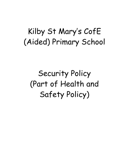## Kilby St Mary's CofE (Aided) Primary School

Security Policy (Part of Health and Safety Policy)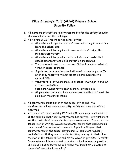## **Kilby St Mary's CofE (Aided) Primary School Security Policy**

- 1. All members of staff are jointly responsible for the safety/security of stakeholders and the buildings.
- 2. All visitors MUST report to the school office:
	- All visitors will sign the visitors' book and out again when they leave the school site
	- All visitors will be required to wear a visitors' badge, this includes supply staff.
	- All visitors will be provided with an induction booklet that details emergency and child protection procedures
	- Visitors who do not have a current CRB will be escorted at all times on school premises
	- Supply teachers new to school will need to provide photo ID when they report to the school office and evidence of a current CRB
	- Volunteers (all of whom are CRB checked) must sign in and out of the school office.
	- Pupils are taught not to open doors to let people in
	- All parents/carers who have appointments with staff must also sign in at the school office
- 3. All contractors must sign in at the school office and the Headteacher will go through security, safety and fire procedures with them.
- 4. At the end of the school day FS2 and KS1 pupils only be allowed out of the building when their parent/carer has arrived. Parents/Carers wanting their child to be collected by someone under 16 must let the school know in writing. We advise parents/carers that pupils should come to and from school with an adult. Pupils in KS2 meet their parents/carers in the school playground. All pupils are regularly reminded that if they are not collected they must go to their class teacher or the school office and not to leave the premises. Parents/ Carers who are late are asked to contact school as soon as possible. If a child is not collected we will follow the "Pupils not collected at the end of the school day policy"